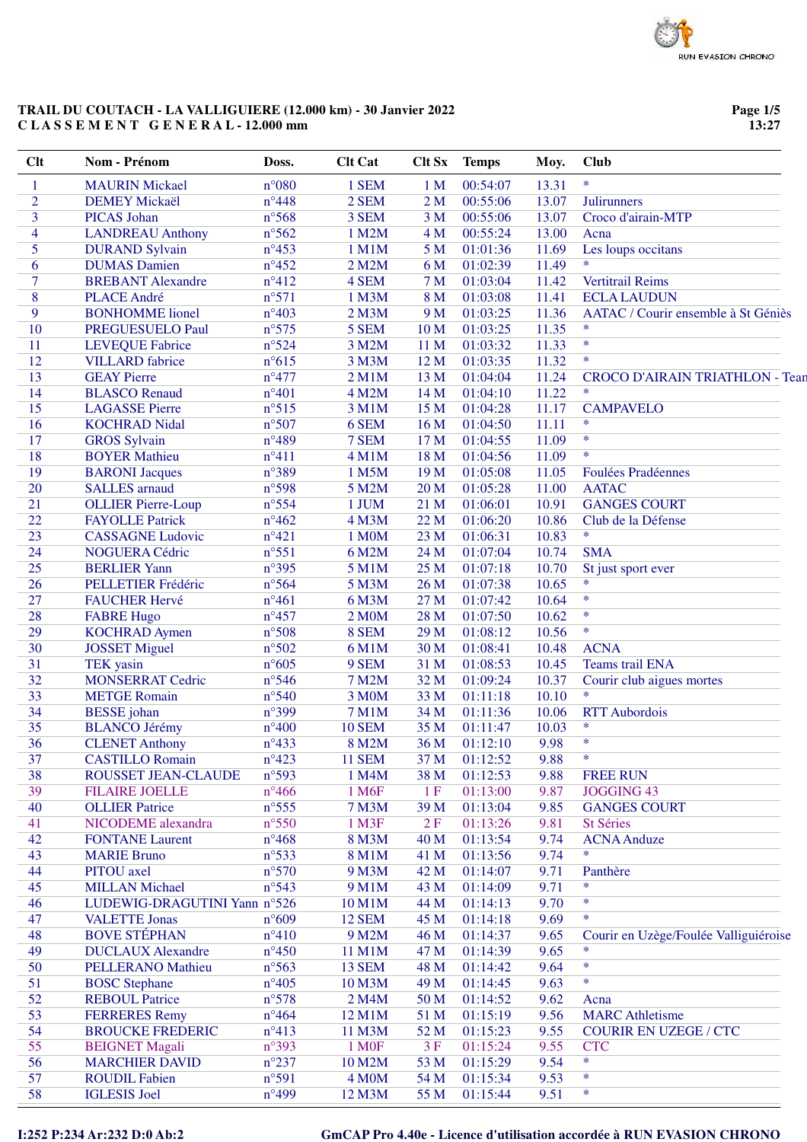**Page 1/5 13:27**

| <b>Clt</b>     | Nom - Prénom                 | Doss.           | <b>Clt Cat</b>     | <b>Clt Sx</b>   | <b>Temps</b> | Moy.  | <b>Club</b>                            |
|----------------|------------------------------|-----------------|--------------------|-----------------|--------------|-------|----------------------------------------|
| $\mathbf{1}$   | <b>MAURIN Mickael</b>        | $n^{\circ}080$  | 1 SEM              | 1 <sub>M</sub>  | 00:54:07     | 13.31 | $\ast$                                 |
| $\overline{2}$ | <b>DEMEY Mickaël</b>         | $n^{\circ}448$  | 2 SEM              | 2M              | 00:55:06     | 13.07 | Julirunners                            |
| 3              | <b>PICAS</b> Johan           | $n^{\circ}$ 568 | 3 SEM              | 3 <sub>M</sub>  | 00:55:06     | 13.07 | Croco d'airain-MTP                     |
| 4              | <b>LANDREAU</b> Anthony      | $n^{\circ}562$  | 1 M2M              | 4 M             | 00:55:24     | 13.00 | Acna                                   |
| 5              | <b>DURAND Sylvain</b>        | $n^{\circ}453$  | 1 M1M              | 5 <sub>M</sub>  | 01:01:36     | 11.69 | Les loups occitans                     |
| 6              | <b>DUMAS</b> Damien          | $n^{\circ}452$  | 2 M2M              | 6 M             | 01:02:39     | 11.49 | $\ast$                                 |
| $\overline{7}$ | <b>BREBANT</b> Alexandre     | $n^{\circ}412$  | 4 SEM              | 7 <sub>M</sub>  | 01:03:04     | 11.42 | <b>Vertitrail Reims</b>                |
| 8              | <b>PLACE André</b>           | $n^{\circ}571$  | 1 M3M              | 8 M             | 01:03:08     | 11.41 | <b>ECLA LAUDUN</b>                     |
|                |                              |                 |                    |                 |              |       |                                        |
| 9              | <b>BONHOMME</b> lionel       | $n^{\circ}403$  | 2 M3M              | 9 M             | 01:03:25     | 11.36 | AATAC / Courir ensemble à St Géniès    |
| 10             | PREGUESUELO Paul             | $n^{\circ}575$  | 5 SEM              | 10 <sub>M</sub> | 01:03:25     | 11.35 | $\ast$                                 |
| 11             | <b>LEVEQUE Fabrice</b>       | $n^{\circ}524$  | 3 M2M              | 11 M            | 01:03:32     | 11.33 | $\ast$                                 |
| 12             | <b>VILLARD</b> fabrice       | $n^{\circ}615$  | 3 M3M              | 12 M            | 01:03:35     | 11.32 | $\ast$                                 |
| 13             | <b>GEAY Pierre</b>           | $n^{\circ}477$  | 2 M1M              | 13 M            | 01:04:04     | 11.24 | <b>CROCO D'AIRAIN TRIATHLON - Tean</b> |
| 14             | <b>BLASCO</b> Renaud         | $n^{\circ}401$  | 4 M2M              | 14 M            | 01:04:10     | 11.22 | *                                      |
| 15             | <b>LAGASSE Pierre</b>        | $n^{\circ}515$  | 3 M1M              | 15 M            | 01:04:28     | 11.17 | <b>CAMPAVELO</b>                       |
| 16             | <b>KOCHRAD Nidal</b>         | $n^{\circ}507$  | 6 SEM              | 16 <sub>M</sub> | 01:04:50     | 11.11 | *                                      |
| 17             | <b>GROS</b> Sylvain          | $n^{\circ}489$  | 7 SEM              | 17 M            | 01:04:55     | 11.09 | $\ast$                                 |
| 18             | <b>BOYER Mathieu</b>         | $n^{\circ}411$  | 4 M1M              | 18 M            | 01:04:56     | 11.09 | $\ast$                                 |
| 19             | <b>BARONI</b> Jacques        | n°389           | 1 M5M              | 19 <sub>M</sub> | 01:05:08     | 11.05 | <b>Foulées Pradéennes</b>              |
| 20             | <b>SALLES</b> arnaud         | n°598           | 5 M2M              | 20 <sub>M</sub> | 01:05:28     | 11.00 | <b>AATAC</b>                           |
| 21             | <b>OLLIER Pierre-Loup</b>    | $n^{\circ}$ 554 | 1 JUM              | 21 M            | 01:06:01     | 10.91 | <b>GANGES COURT</b>                    |
| 22             | <b>FAYOLLE Patrick</b>       | $n^{\circ}462$  | 4 M3M              | 22 M            | 01:06:20     | 10.86 | Club de la Défense                     |
| 23             | <b>CASSAGNE Ludovic</b>      | $n^{\circ}421$  | 1 M0M              | 23 M            | 01:06:31     | 10.83 | $\ast$                                 |
|                |                              |                 |                    |                 |              |       |                                        |
| 24             | NOGUERA Cédric               | $n^{\circ}551$  | 6 M2M              | 24 M            | 01:07:04     | 10.74 | <b>SMA</b>                             |
| 25             | <b>BERLIER Yann</b>          | $n^{\circ}395$  | 5 M1M              | 25 M            | 01:07:18     | 10.70 | St just sport ever<br>$\ast$           |
| 26             | PELLETIER Frédéric           | $n^{\circ}$ 564 | 5 M3M              | 26 M            | 01:07:38     | 10.65 |                                        |
| 27             | <b>FAUCHER Hervé</b>         | $n^{\circ}461$  | 6 M3M              | 27 M            | 01:07:42     | 10.64 | $\ast$                                 |
| 28             | <b>FABRE Hugo</b>            | $n^{\circ}457$  | 2 M0M              | 28 M            | 01:07:50     | 10.62 | $\ast$                                 |
| 29             | <b>KOCHRAD Aymen</b>         | n°508           | 8 SEM              | 29 M            | 01:08:12     | 10.56 | $\ast$                                 |
| 30             | <b>JOSSET Miguel</b>         | $n^{\circ}502$  | 6 M1M              | 30 M            | 01:08:41     | 10.48 | <b>ACNA</b>                            |
| 31             | <b>TEK</b> yasin             | $n^{\circ}605$  | 9 SEM              | 31 M            | 01:08:53     | 10.45 | Teams trail ENA                        |
| 32             | <b>MONSERRAT Cedric</b>      | $n^{\circ}$ 546 | <b>7 M2M</b>       | 32 M            | 01:09:24     | 10.37 | Courir club aigues mortes              |
| 33             | <b>METGE Romain</b>          | $n^{\circ}540$  | 3 M0M              | 33 M            | 01:11:18     | 10.10 | $\ast$                                 |
| 34             | <b>BESSE</b> johan           | n°399           | <b>7 M1M</b>       | 34 M            | 01:11:36     | 10.06 | <b>RTT</b> Aubordois                   |
| 35             | <b>BLANCO Jérémy</b>         | $n^{\circ}400$  | <b>10 SEM</b>      | 35 M            | 01:11:47     | 10.03 | $\ast$                                 |
| 36             | <b>CLENET Anthony</b>        | $n^{\circ}433$  | 8 M2M              | 36 M            | 01:12:10     | 9.98  | $\ast$                                 |
| 37             | <b>CASTILLO Romain</b>       | $n^{\circ}423$  | <b>11 SEM</b>      | 37 M            | 01:12:52     | 9.88  | *                                      |
| 38             | ROUSSET JEAN-CLAUDE          | n°593           | 1 M4M              | 38 M            | 01:12:53     | 9.88  | <b>FREE RUN</b>                        |
| 39             | <b>FILAIRE JOELLE</b>        | $n^{\circ}466$  | 1 M <sub>6F</sub>  | 1F              | 01:13:00     | 9.87  | <b>JOGGING 43</b>                      |
| 40             | <b>OLLIER Patrice</b>        | $n^{\circ}$ 555 | <b>7 M3M</b>       | 39 M            | 01:13:04     | 9.85  | <b>GANGES COURT</b>                    |
|                |                              |                 |                    |                 |              |       |                                        |
| 41             | NICODEME alexandra           | $n^{\circ}550$  | 1 M3F              | 2F              | 01:13:26     | 9.81  | St Séries                              |
| 42             | <b>FONTANE Laurent</b>       | $n^{\circ}468$  | 8 M3M              | 40 M            | 01:13:54     | 9.74  | <b>ACNA</b> Anduze                     |
| 43             | <b>MARIE Bruno</b>           | $n^{\circ}533$  | 8 M1M              | 41 M            | 01:13:56     | 9.74  | *                                      |
| 44             | PITOU axel                   | $n^{\circ}570$  | 9 M3M              | 42 M            | 01:14:07     | 9.71  | Panthère                               |
| 45             | <b>MILLAN Michael</b>        | $n^{\circ}543$  | 9 M1M              | 43 M            | 01:14:09     | 9.71  | $\ast$                                 |
| 46             | LUDEWIG-DRAGUTINI Yann n°526 |                 | 10 M1M             | 44 M            | 01:14:13     | 9.70  | $\ast$                                 |
| 47             | <b>VALETTE Jonas</b>         | $n^{\circ}609$  | <b>12 SEM</b>      | 45 M            | 01:14:18     | 9.69  | $\ast$                                 |
| 48             | <b>BOVE STÉPHAN</b>          | $n^{\circ}410$  | 9 M2M              | 46 M            | 01:14:37     | 9.65  | Courir en Uzège/Foulée Valliguiéroise  |
| 49             | <b>DUCLAUX Alexandre</b>     | $n^{\circ}450$  | 11 M1M             | 47 M            | 01:14:39     | 9.65  | $\ast$                                 |
| 50             | <b>PELLERANO Mathieu</b>     | $n^{\circ}563$  | <b>13 SEM</b>      | 48 M            | 01:14:42     | 9.64  | $\ast$                                 |
| 51             | <b>BOSC</b> Stephane         | $n^{\circ}405$  | 10 M3M             | 49 M            | 01:14:45     | 9.63  | $\ast$                                 |
| 52             | <b>REBOUL Patrice</b>        | $n^{\circ}578$  | 2 M4M              | 50 M            | 01:14:52     | 9.62  | Acna                                   |
| 53             | <b>FERRERES</b> Remy         | $n^{\circ}464$  | 12 M1M             | 51 M            | 01:15:19     | 9.56  | <b>MARC</b> Athletisme                 |
| 54             | <b>BROUCKE FREDERIC</b>      | $n^{\circ}413$  | 11 M3M             | 52 M            | 01:15:23     | 9.55  | <b>COURIR EN UZEGE / CTC</b>           |
| 55             | <b>BEIGNET Magali</b>        | $n^{\circ}393$  | 1 M <sub>OF</sub>  | 3F              | 01:15:24     | 9.55  | <b>CTC</b>                             |
| 56             | <b>MARCHIER DAVID</b>        | $n^{\circ}237$  | 10 M2M             | 53 M            | 01:15:29     | 9.54  | $\ast$                                 |
|                |                              |                 |                    |                 |              |       | $\ast$                                 |
| 57             | <b>ROUDIL Fabien</b>         | n°591           | 4 M <sub>O</sub> M | 54 M            | 01:15:34     | 9.53  | $\ast$                                 |
| 58             | <b>IGLESIS</b> Joel          | $n^{\circ}499$  | 12 M3M             | 55 M            | 01:15:44     | 9.51  |                                        |

# **I:252 P:234 Ar:232 D:0 Ab:2 GmCAP Pro 4.40e - Licence d'utilisation accordée à RUN EVASION CHRONO**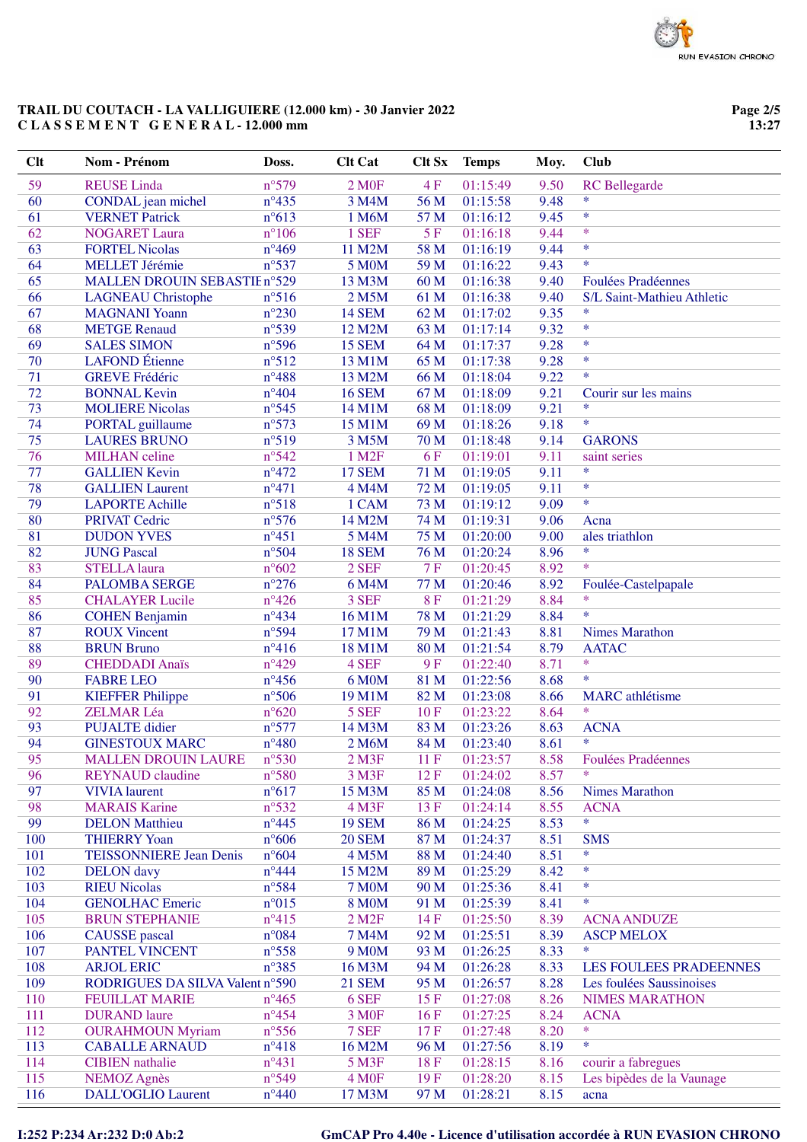**Page 2/5 13:27**

| <b>Clt</b> | Nom - Prénom                    | Doss.           | <b>Clt Cat</b>         | <b>Clt Sx</b> | <b>Temps</b> | Moy. | Club                       |
|------------|---------------------------------|-----------------|------------------------|---------------|--------------|------|----------------------------|
| 59         | <b>REUSE</b> Linda              | $n^{\circ}579$  | 2 M <sub>OF</sub>      | 4F            | 01:15:49     | 9.50 | <b>RC</b> Bellegarde       |
| 60         | CONDAL jean michel              | $n^{\circ}435$  | 3 M4M                  | 56 M          | 01:15:58     | 9.48 | $\ast$                     |
| 61         | <b>VERNET Patrick</b>           | $n^{\circ}613$  | 1 M6M                  | 57 M          | 01:16:12     | 9.45 | $\ast$                     |
| 62         | <b>NOGARET Laura</b>            | $n^{\circ}106$  | 1 SEF                  | 5F            | 01:16:18     | 9.44 | $\ast$                     |
| 63         | <b>FORTEL Nicolas</b>           | $n^{\circ}469$  | 11 M2M                 | 58 M          | 01:16:19     | 9.44 | $\ast$                     |
| 64         | <b>MELLET Jérémie</b>           | $n^{\circ}537$  | <b>5 M0M</b>           | 59 M          | 01:16:22     | 9.43 | $\ast$                     |
| 65         | MALLEN DROUIN SEBASTIE n°529    |                 | 13 M3M                 | 60 M          | 01:16:38     | 9.40 | <b>Foulées Pradéennes</b>  |
| 66         | <b>LAGNEAU Christophe</b>       | $n^{\circ}516$  | 2 M5M                  | 61 M          | 01:16:38     | 9.40 | S/L Saint-Mathieu Athletic |
| 67         | <b>MAGNANI Yoann</b>            | $n^{\circ}230$  | <b>14 SEM</b>          | 62 M          | 01:17:02     | 9.35 | $\ast$                     |
| 68         | <b>METGE Renaud</b>             | $n^{\circ}539$  | 12 M2M                 | 63M           | 01:17:14     | 9.32 | $\ast$                     |
| 69         | <b>SALES SIMON</b>              | $n^{\circ}$ 596 | <b>15 SEM</b>          | 64 M          | 01:17:37     | 9.28 | $\ast$                     |
| 70         | <b>LAFOND</b> Étienne           | $n^{\circ}512$  | 13 M1M                 | 65 M          | 01:17:38     | 9.28 | $\ast$                     |
| 71         | <b>GREVE Frédéric</b>           | $n^{\circ}488$  | 13 M2M                 | 66 M          | 01:18:04     | 9.22 | $\ast$                     |
| 72         | <b>BONNAL Kevin</b>             | $n^{\circ}404$  | <b>16 SEM</b>          | 67 M          | 01:18:09     | 9.21 | Courir sur les mains       |
| 73         | <b>MOLIERE Nicolas</b>          | $n^{\circ}545$  | 14 M1M                 | 68 M          | 01:18:09     | 9.21 | *                          |
| 74         | <b>PORTAL</b> guillaume         | $n^{\circ}573$  | 15 M1M                 | 69 M          | 01:18:26     | 9.18 | $\ast$                     |
| 75         | <b>LAURES BRUNO</b>             | n°519           | 3 M5M                  | 70 M          | 01:18:48     | 9.14 | <b>GARONS</b>              |
| 76         | <b>MILHAN</b> celine            | $n^{\circ}542$  | 1 M <sub>2</sub> F     | 6F            | 01:19:01     | 9.11 | saint series               |
| 77         | <b>GALLIEN Kevin</b>            | $n^{\circ}472$  | <b>17 SEM</b>          | 71 M          | 01:19:05     | 9.11 | $\ast$                     |
| 78         | <b>GALLIEN Laurent</b>          | $n^{\circ}471$  | 4 M4M                  | 72 M          | 01:19:05     | 9.11 | $\ast$                     |
| 79         | <b>LAPORTE Achille</b>          | $n^{\circ}518$  | 1 CAM                  | 73 M          | 01:19:12     | 9.09 | $\ast$                     |
| 80         | <b>PRIVAT Cedric</b>            | $n^{\circ}576$  | 14 M2M                 | 74 M          | 01:19:31     | 9.06 | Acna                       |
| 81         | <b>DUDON YVES</b>               | $n^{\circ}451$  | 5 M4M                  | 75 M          | 01:20:00     | 9.00 | ales triathlon             |
| 82         | <b>JUNG Pascal</b>              | $n^{\circ}504$  | <b>18 SEM</b>          | 76 M          | 01:20:24     | 8.96 | $\ast$                     |
| 83         | <b>STELLA</b> laura             | $n^{\circ}602$  | 2 SEF                  | 7F            | 01:20:45     | 8.92 | $\ast$                     |
| 84         | <b>PALOMBA SERGE</b>            | $n^{\circ}276$  | 6 M4M                  | 77 M          | 01:20:46     | 8.92 | Foulée-Castelpapale        |
| 85         | <b>CHALAYER Lucile</b>          | $n^{\circ}426$  | 3 SEF                  | <b>8F</b>     | 01:21:29     | 8.84 | $\ast$                     |
| 86         | <b>COHEN Benjamin</b>           | $n^{\circ}434$  | 16 M1M                 | 78 M          | 01:21:29     | 8.84 | $\ast$                     |
| 87         | <b>ROUX Vincent</b>             | n°594           | 17 M1M                 | 79 M          | 01:21:43     | 8.81 | <b>Nimes Marathon</b>      |
| 88         | <b>BRUN Bruno</b>               | $n^{\circ}416$  | 18 M1M                 | 80 M          | 01:21:54     | 8.79 | <b>AATAC</b>               |
| 89         | <b>CHEDDADI</b> Anaïs           | $n^{\circ}429$  | 4 SEF                  | 9F            | 01:22:40     | 8.71 | $\ast$                     |
| 90         | <b>FABRE LEO</b>                | $n^{\circ}456$  | 6 M0M                  | 81 M          | 01:22:56     | 8.68 | $\ast$                     |
| 91         | <b>KIEFFER Philippe</b>         | $n^{\circ}506$  | 19 M1M                 | 82 M          | 01:23:08     | 8.66 | <b>MARC</b> athlétisme     |
| 92         | <b>ZELMAR Léa</b>               | $n^{\circ}620$  | 5 SEF                  | 10F           | 01:23:22     | 8.64 | $\ast$                     |
| 93         | <b>PUJALTE</b> didier           | $n^{\circ}577$  | 14 M3M                 | 83 M          | 01:23:26     | 8.63 | <b>ACNA</b>                |
| 94         | <b>GINESTOUX MARC</b>           | $n^{\circ}480$  | 2 M6M                  | 84 M          | 01:23:40     | 8.61 | $\ast$                     |
| 95         | <b>MALLEN DROUIN LAURE</b>      | $n^{\circ}530$  | $2$ M $3F$             | 11F           | 01:23:57     | 8.58 | <b>Foulées Pradéennes</b>  |
| 96         | <b>REYNAUD</b> claudine         | $n^{\circ}580$  | 3 M3F                  | 12F           | 01:24:02     | 8.57 | *                          |
| 97         | <b>VIVIA</b> laurent            | $n^{\circ}617$  | 15 M3M                 | 85 M          | 01:24:08     | 8.56 | <b>Nimes Marathon</b>      |
| 98         | <b>MARAIS Karine</b>            | $n^{\circ}532$  | 4 M3F                  | 13F           | 01:24:14     | 8.55 | <b>ACNA</b>                |
| 99         | <b>DELON</b> Matthieu           | $n^{\circ}445$  | <b>19 SEM</b>          | 86 M          | 01:24:25     | 8.53 | $\ast$                     |
| 100        | <b>THIERRY Yoan</b>             | $n^{\circ}606$  | <b>20 SEM</b>          | 87 M          | 01:24:37     | 8.51 | <b>SMS</b>                 |
| 101        | <b>TEISSONNIERE Jean Denis</b>  | $n^{\circ}604$  | 4 M5M                  | 88 M          | 01:24:40     | 8.51 | $\ast$                     |
| 102        | <b>DELON</b> davy               | $n^{\circ}444$  | 15 M2M                 | 89 M          | 01:25:29     | 8.42 | $\ast$                     |
| 103        | <b>RIEU Nicolas</b>             | $n^{\circ}584$  | <b>7 M0M</b>           | 90 M          | 01:25:36     | 8.41 | $\ast$                     |
| 104        | <b>GENOLHAC Emeric</b>          | $n^{\circ}015$  | <b>8 M0M</b>           | 91 M          | 01:25:39     | 8.41 | $\ast$                     |
| 105        | <b>BRUN STEPHANIE</b>           | $n^{\circ}415$  | $2$ M <sub>2</sub> $F$ | 14 F          | 01:25:50     | 8.39 | <b>ACNA ANDUZE</b>         |
| 106        | <b>CAUSSE</b> pascal            | $n^{\circ}084$  | 7 M4M                  | 92 M          | 01:25:51     | 8.39 | <b>ASCP MELOX</b>          |
| 107        | PANTEL VINCENT                  | $n^{\circ}$ 558 | 9 M <sub>0</sub> M     | 93 M          | 01:26:25     | 8.33 | *                          |
| 108        | <b>ARJOL ERIC</b>               | $n^{\circ}385$  | 16 M3M                 | 94 M          | 01:26:28     | 8.33 | LES FOULEES PRADEENNES     |
| 109        | RODRIGUES DA SILVA Valent nº590 |                 | <b>21 SEM</b>          | 95 M          | 01:26:57     | 8.28 | Les foulées Saussinoises   |
| 110        | <b>FEUILLAT MARIE</b>           | $n^{\circ}465$  | 6 SEF                  | 15F           | 01:27:08     | 8.26 | <b>NIMES MARATHON</b>      |
| 111        | <b>DURAND</b> laure             | $n^{\circ}454$  | 3 M <sub>OF</sub>      | 16F           | 01:27:25     | 8.24 | <b>ACNA</b><br>$\ast$      |
| 112        | <b>OURAHMOUN Myriam</b>         | $n^{\circ}$ 556 | 7 SEF                  | 17F           | 01:27:48     | 8.20 | *                          |
| 113        | <b>CABALLE ARNAUD</b>           | $n^{\circ}418$  | 16 M2M                 | 96 M          | 01:27:56     | 8.19 |                            |
| 114        | <b>CIBIEN</b> nathalie          | $n^{\circ}431$  | 5 M3F                  | 18F           | 01:28:15     | 8.16 | courir a fabregues         |
| 115        | <b>NEMOZ Agnès</b>              | $n^{\circ}549$  | 4 M <sub>OF</sub>      | 19F           | 01:28:20     | 8.15 | Les bipèdes de la Vaunage  |
| 116        | <b>DALL'OGLIO Laurent</b>       | $n^{\circ}440$  | 17 M3M                 | 97 M          | 01:28:21     | 8.15 | acna                       |

### **I:252 P:234 Ar:232 D:0 Ab:2 GmCAP Pro 4.40e - Licence d'utilisation accordée à RUN EVASION CHRONO**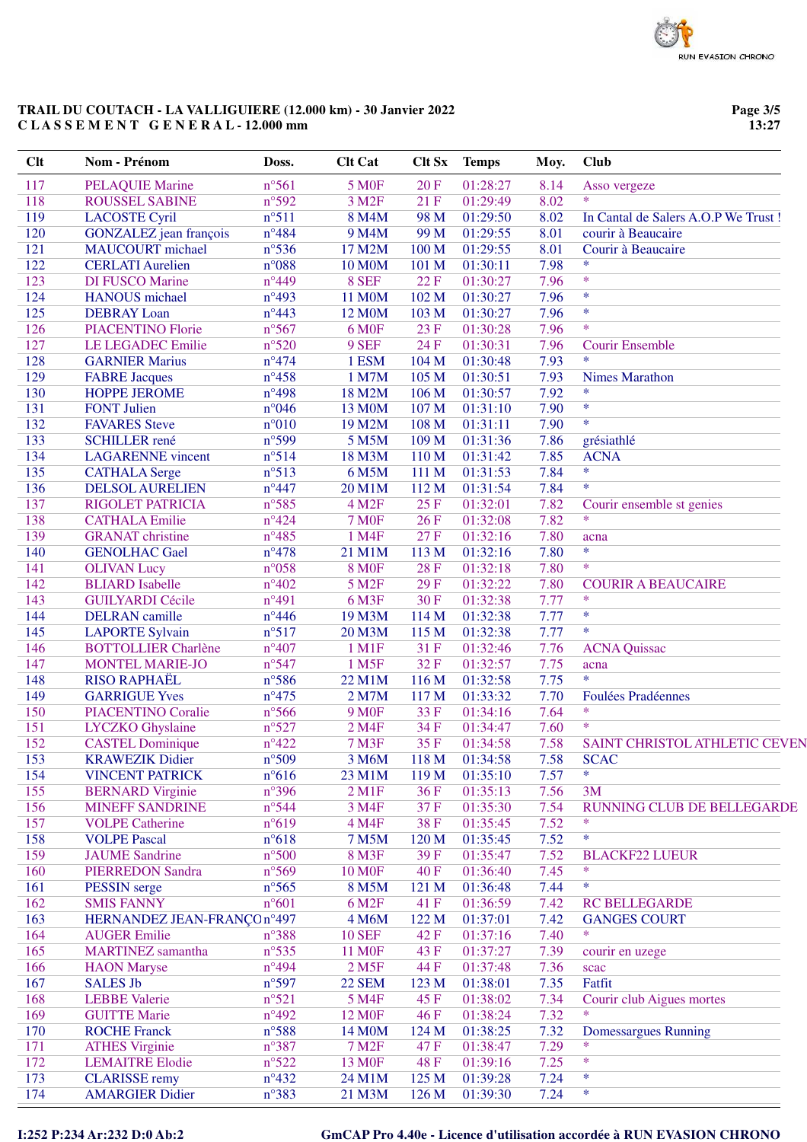**Page 3/5 13:27**

| Clt | Nom - Prénom                                      | Doss.           | <b>Clt Cat</b>     | <b>Clt Sx</b> | <b>Temps</b> | Moy.         | <b>Club</b>                          |
|-----|---------------------------------------------------|-----------------|--------------------|---------------|--------------|--------------|--------------------------------------|
| 117 | <b>PELAQUIE Marine</b>                            | n°561           | <b>5 MOF</b>       | 20F           | 01:28:27     | 8.14         | Asso vergeze                         |
| 118 | <b>ROUSSEL SABINE</b>                             | n°592           | 3 M <sub>2F</sub>  | 21F           | 01:29:49     | 8.02         | $\ast$                               |
| 119 | <b>LACOSTE Cyril</b>                              | $n^{\circ}511$  | 8 M4M              | 98 M          | 01:29:50     | 8.02         | In Cantal de Salers A.O.P We Trust ! |
| 120 | GONZALEZ jean françois                            | $n^{\circ}484$  | 9 M4M              | 99 M          | 01:29:55     | 8.01         | courir à Beaucaire                   |
| 121 | <b>MAUCOURT</b> michael                           | $n^{\circ}$ 536 | 17 M2M             | 100 M         | 01:29:55     | 8.01         | Courir à Beaucaire                   |
| 122 | <b>CERLATI</b> Aurelien                           | $n^{\circ}088$  | <b>10 M0M</b>      | 101 M         | 01:30:11     | 7.98         | $\ast$                               |
| 123 | <b>DI FUSCO Marine</b>                            | $n^{\circ}449$  | 8 SEF              | 22F           | 01:30:27     | 7.96         | $\ast$                               |
| 124 | <b>HANOUS</b> michael                             | $n^{\circ}493$  | <b>11 M0M</b>      | 102 M         | 01:30:27     | 7.96         | $\ast$                               |
| 125 | <b>DEBRAY</b> Loan                                | $n^{\circ}443$  | 12 M0M             | 103 M         | 01:30:27     | 7.96         | $\ast$                               |
| 126 | <b>PIACENTINO Florie</b>                          | n°567           | <b>6 M0F</b>       | 23 F          | 01:30:28     | 7.96         | $\ast$                               |
| 127 | <b>LE LEGADEC Emilie</b>                          | $n^{\circ}520$  | 9 SEF              | 24 F          | 01:30:31     | 7.96         | <b>Courir Ensemble</b>               |
| 128 | <b>GARNIER Marius</b>                             | $n^{\circ}474$  | 1 ESM              | 104 M         | 01:30:48     | 7.93         | $\ast$                               |
| 129 | <b>FABRE Jacques</b>                              | $n^{\circ}458$  | 1 M7M              | 105 M         | 01:30:51     | 7.93         | <b>Nimes Marathon</b>                |
| 130 | <b>HOPPE JEROME</b>                               | $n^{\circ}498$  | 18 M2M             | 106 M         | 01:30:57     | 7.92         | $\ast$                               |
| 131 | <b>FONT Julien</b>                                | $n^{\circ}046$  | 13 M0M             | 107 M         | 01:31:10     | 7.90         | $\ast$                               |
| 132 | <b>FAVARES</b> Steve                              | $n^{\circ}010$  | 19 M2M             | 108 M         | 01:31:11     | 7.90         | $\ast$                               |
| 133 | <b>SCHILLER</b> rené                              | n°599           | 5 M5M              | 109 M         | 01:31:36     | 7.86         | grésiathlé                           |
| 134 | <b>LAGARENNE</b> vincent                          | n°514           | 18 M3M             | 110 M         | 01:31:42     | 7.85         | <b>ACNA</b>                          |
| 135 | <b>CATHALA Serge</b>                              | n°513           | 6 M5M              | 111 M         | 01:31:53     | 7.84         | *                                    |
| 136 | <b>DELSOL AURELIEN</b>                            | $n^{\circ}447$  | 20 M1M             | 112 M         | 01:31:54     | 7.84         | *                                    |
| 137 | <b>RIGOLET PATRICIA</b>                           | n°585           | 4 M <sub>2F</sub>  | 25F           | 01:32:01     | 7.82         | Courir ensemble st genies            |
| 138 | <b>CATHALA Emilie</b>                             | $n^{\circ}424$  | <b>7 MOF</b>       | 26F           | 01:32:08     | 7.82         | *                                    |
| 139 | <b>GRANAT</b> christine                           | $n^{\circ}485$  | 1 M4F              | 27F           | 01:32:16     | 7.80         | acna                                 |
| 140 | <b>GENOLHAC Gael</b>                              | $n^{\circ}478$  | 21 M1M             | 113 M         | 01:32:16     | 7.80         | $\ast$                               |
| 141 | <b>OLIVAN Lucy</b>                                | $n^{\circ}058$  | <b>8 MOF</b>       | 28F           | 01:32:18     | 7.80         | $\ast$                               |
| 142 | <b>BLIARD</b> Isabelle                            | $n^{\circ}402$  | 5 M <sub>2F</sub>  | 29F           | 01:32:22     | 7.80         | <b>COURIR A BEAUCAIRE</b>            |
| 143 | <b>GUILYARDI Cécile</b>                           | $n^{\circ}491$  | 6 M3F              | 30F           | 01:32:38     | 7.77         | $\ast$                               |
| 144 | <b>DELRAN</b> camille                             | $n^{\circ}446$  | 19 M3M             | 114 M         | 01:32:38     | 7.77         | $\ast$                               |
| 145 | <b>LAPORTE Sylvain</b>                            | $n^{\circ}517$  | 20 M3M             | 115 M         | 01:32:38     | 7.77         | *                                    |
| 146 | <b>BOTTOLLIER Charlène</b>                        | $n^{\circ}407$  | 1 M1F              | 31 F          | 01:32:46     | 7.76         | <b>ACNA</b> Quissac                  |
| 147 | <b>MONTEL MARIE-JO</b>                            | $n^{\circ}547$  | 1 M5F              | 32F           | 01:32:57     | 7.75         | acna                                 |
| 148 | <b>RISO RAPHAËL</b>                               | $n^{\circ}$ 586 | 22 M1M             | 116 M         | 01:32:58     | 7.75         | $\ast$                               |
| 149 | <b>GARRIGUE Yves</b>                              | $n^{\circ}475$  | 2 M7M              | 117 M         | 01:33:32     | 7.70         | Foulées Pradéennes                   |
| 150 | <b>PIACENTINO Coralie</b>                         | $n^{\circ}$ 566 | <b>9 M0F</b>       | 33F           | 01:34:16     | 7.64         | $\ast$                               |
| 151 | <b>LYCZKO</b> Ghyslaine                           | $n^{\circ}527$  | 2 M4F              | 34 F          | 01:34:47     | 7.60         | $\ast$                               |
| 152 | <b>CASTEL Dominique</b>                           | $n^{\circ}422$  | <b>7 M3F</b>       | 35F           | 01:34:58     | 7.58         | SAINT CHRISTOL ATHLETIC CEVEN        |
| 153 | <b>KRAWEZIK Didier</b>                            | $n°$ 509        | 3 M6M              | 118 M         | 01:34:58     | 7.58         | <b>SCAC</b>                          |
| 154 |                                                   | $n^{\circ}616$  | 23 M1M             | 119 M         | 01:35:10     | 7.57         | *                                    |
| 155 | <b>VINCENT PATRICK</b>                            | n°396           | $2$ M1F            |               |              |              |                                      |
| 156 | <b>BERNARD</b> Virginie<br><b>MINEFF SANDRINE</b> | $n^{\circ}$ 544 | 3 M4F              | 36F<br>37 F   | 01:35:13     | 7.56<br>7.54 | 3M<br>RUNNING CLUB DE BELLEGARDE     |
| 157 |                                                   | $n^{\circ}619$  |                    |               | 01:35:30     | 7.52         | ∗                                    |
| 158 | <b>VOLPE Catherine</b><br><b>VOLPE Pascal</b>     | $n^{\circ}618$  | 4 M4F              | 38 F          | 01:35:45     | 7.52         | *                                    |
| 159 | <b>JAUME</b> Sandrine                             | $n^{\circ}500$  | 7 M5M              | 120 M         | 01:35:45     | 7.52         |                                      |
|     |                                                   |                 | 8 M3F              | 39 F          | 01:35:47     |              | <b>BLACKF22 LUEUR</b><br>∗           |
| 160 | <b>PIERREDON Sandra</b>                           | $n^{\circ}569$  | <b>10 M0F</b>      | 40 F          | 01:36:40     | 7.45         | *                                    |
| 161 | <b>PESSIN</b> serge                               | $n^{\circ}$ 565 | 8 M5M              | 121 M         | 01:36:48     | 7.44         |                                      |
| 162 | <b>SMIS FANNY</b>                                 | $n^{\circ}601$  | 6 M <sub>2F</sub>  | 41 F          | 01:36:59     | 7.42         | <b>RC BELLEGARDE</b>                 |
| 163 | HERNANDEZ JEAN-FRANÇOn°497                        |                 | 4 M6M              | 122 M         | 01:37:01     | 7.42         | <b>GANGES COURT</b><br>*             |
| 164 | <b>AUGER Emilie</b>                               | n°388           | <b>10 SEF</b>      | 42 F          | 01:37:16     | 7.40         |                                      |
| 165 | <b>MARTINEZ</b> samantha                          | $n^{\circ}$ 535 | <b>11 MOF</b>      | 43 F          | 01:37:27     | 7.39         | courir en uzege                      |
| 166 | <b>HAON</b> Maryse                                | $n^{\circ}494$  | 2 M <sub>5F</sub>  | 44 F          | 01:37:48     | 7.36         | scac                                 |
| 167 | <b>SALES Jb</b>                                   | n°597           | <b>22 SEM</b>      | 123 M         | 01:38:01     | 7.35         | Fatfit                               |
| 168 | <b>LEBBE</b> Valerie                              | $n^{\circ}521$  | 5 M4F              | 45 F          | 01:38:02     | 7.34         | Courir club Aigues mortes            |
| 169 | <b>GUITTE Marie</b>                               | $n^{\circ}492$  | 12 M <sub>OF</sub> | 46F           | 01:38:24     | 7.32         | *                                    |
| 170 | <b>ROCHE Franck</b>                               | $n^{\circ}588$  | 14 M0M             | 124 M         | 01:38:25     | 7.32         | <b>Domessargues Running</b>          |
| 171 | <b>ATHES Virginie</b>                             | n°387           | <b>7 M2F</b>       | 47 F          | 01:38:47     | 7.29         | $\ast$                               |
| 172 | <b>LEMAITRE Elodie</b>                            | $n^{\circ}522$  | 13 M <sub>OF</sub> | 48 F          | 01:39:16     | 7.25         | *                                    |
| 173 | <b>CLARISSE</b> remy                              | $n^{\circ}432$  | 24 M1M             | 125 M         | 01:39:28     | 7.24         | *                                    |
| 174 | <b>AMARGIER Didier</b>                            | n°383           | 21 M3M             | 126 M         | 01:39:30     | 7.24         | *                                    |

# **I:252 P:234 Ar:232 D:0 Ab:2 GmCAP Pro 4.40e - Licence d'utilisation accordée à RUN EVASION CHRONO**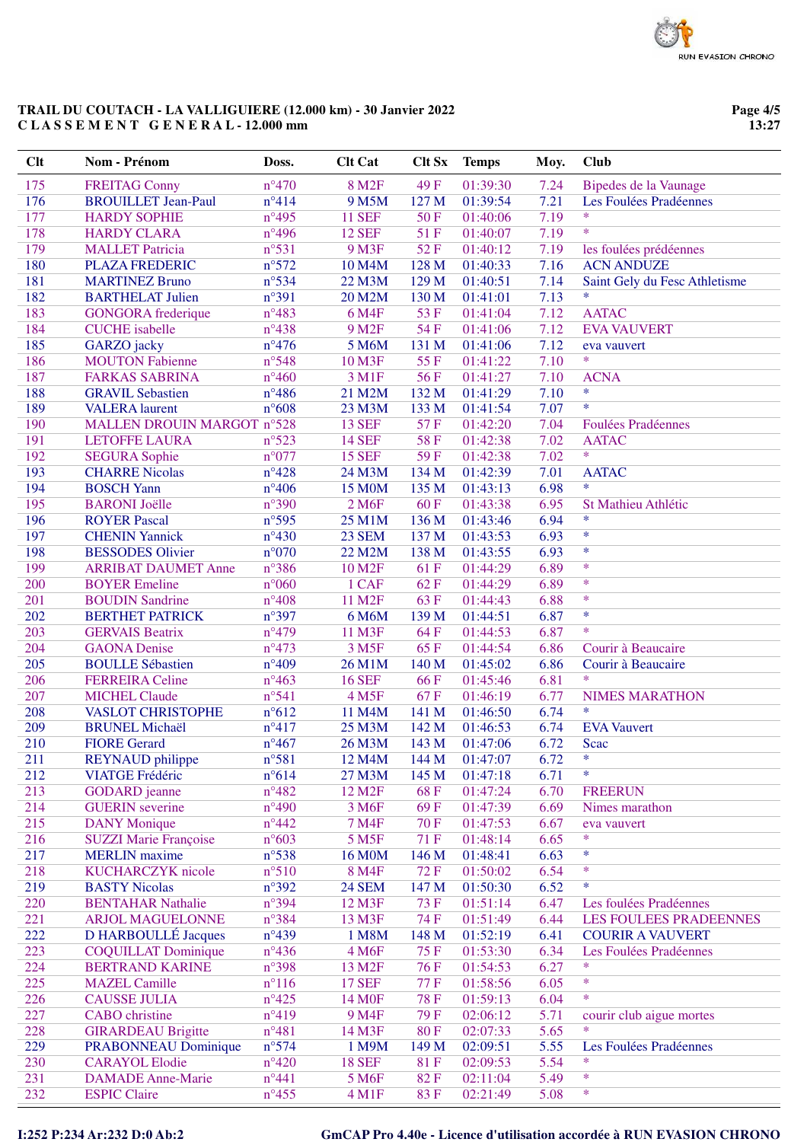**Page 4/5 13:27**

| Clt | Nom - Prénom                 | Doss.          | <b>Clt Cat</b>      | <b>Clt Sx</b> | <b>Temps</b> | Moy. | <b>Club</b>                   |
|-----|------------------------------|----------------|---------------------|---------------|--------------|------|-------------------------------|
| 175 | <b>FREITAG Conny</b>         | $n^{\circ}470$ | 8 M <sub>2F</sub>   | 49F           | 01:39:30     | 7.24 | Bipedes de la Vaunage         |
| 176 | <b>BROUILLET Jean-Paul</b>   | $n^{\circ}414$ | 9 M5M               | 127 M         | 01:39:54     | 7.21 | Les Foulées Pradéennes        |
| 177 | <b>HARDY SOPHIE</b>          | $n^{\circ}495$ | <b>11 SEF</b>       | 50F           | 01:40:06     | 7.19 | $\ast$                        |
| 178 | <b>HARDY CLARA</b>           | $n^{\circ}496$ | <b>12 SEF</b>       | 51F           | 01:40:07     | 7.19 | $\ast$                        |
| 179 | <b>MALLET Patricia</b>       | $n^{\circ}531$ | 9 M3F               | 52F           | 01:40:12     | 7.19 | les foulées prédéennes        |
| 180 | <b>PLAZA FREDERIC</b>        | $n^{\circ}572$ | 10 M4M              | 128 M         | 01:40:33     | 7.16 | <b>ACN ANDUZE</b>             |
| 181 | <b>MARTINEZ Bruno</b>        | $n^{\circ}534$ | 22 M3M              | 129 M         | 01:40:51     | 7.14 | Saint Gely du Fesc Athletisme |
| 182 | <b>BARTHELAT Julien</b>      | n°391          | 20 M2M              | 130 M         | 01:41:01     | 7.13 | $\ast$                        |
| 183 | <b>GONGORA</b> frederique    | $n^{\circ}483$ | 6 M4F               | 53F           | 01:41:04     | 7.12 | <b>AATAC</b>                  |
| 184 | <b>CUCHE</b> isabelle        | $n^{\circ}438$ | 9 M <sub>2F</sub>   | 54 F          | 01:41:06     | 7.12 | <b>EVA VAUVERT</b>            |
| 185 | GARZO jacky                  | $n^{\circ}476$ | 5 M6M               | 131 M         | 01:41:06     | 7.12 | eva vauvert                   |
| 186 | <b>MOUTON Fabienne</b>       | n°548          | 10 M3F              | 55F           | 01:41:22     | 7.10 | $\ast$                        |
| 187 | <b>FARKAS SABRINA</b>        | $n^{\circ}460$ | 3 M1F               | 56F           | 01:41:27     | 7.10 | <b>ACNA</b>                   |
| 188 | <b>GRAVIL Sebastien</b>      | $n^{\circ}486$ | 21 M2M              | 132 M         | 01:41:29     | 7.10 | $\ast$                        |
| 189 | <b>VALERA</b> laurent        | $n^{\circ}608$ | 23 M3M              | 133 M         | 01:41:54     | 7.07 | $\ast$                        |
| 190 | MALLEN DROUIN MARGOT n°528   |                | <b>13 SEF</b>       | 57F           | 01:42:20     | 7.04 | <b>Foulées Pradéennes</b>     |
| 191 | <b>LETOFFE LAURA</b>         | $n^{\circ}523$ | <b>14 SEF</b>       | 58F           | 01:42:38     | 7.02 | <b>AATAC</b>                  |
| 192 | <b>SEGURA Sophie</b>         | $n^{\circ}077$ | <b>15 SEF</b>       | 59F           | 01:42:38     | 7.02 | $\ast$                        |
| 193 | <b>CHARRE Nicolas</b>        | $n^{\circ}428$ | 24 M3M              | 134 M         | 01:42:39     | 7.01 | <b>AATAC</b>                  |
| 194 | <b>BOSCH Yann</b>            | $n^{\circ}406$ | 15 M0M              | 135 M         | 01:43:13     | 6.98 | $\ast$                        |
| 195 | <b>BARONI</b> Joëlle         | $n^{\circ}390$ | 2 M <sub>6F</sub>   | 60F           | 01:43:38     | 6.95 | St Mathieu Athlétic           |
| 196 | <b>ROYER Pascal</b>          | $n^{\circ}595$ | 25 M1M              | 136 M         | 01:43:46     | 6.94 | $\ast$                        |
| 197 | <b>CHENIN Yannick</b>        | $n^{\circ}430$ | 23 SEM              | 137 M         | 01:43:53     | 6.93 | $\ast$                        |
| 198 | <b>BESSODES Olivier</b>      | $n^{\circ}070$ | 22 M2M              | 138 M         | 01:43:55     | 6.93 | $\ast$                        |
| 199 | <b>ARRIBAT DAUMET Anne</b>   | n°386          | 10 M <sub>2F</sub>  | 61 F          | 01:44:29     | 6.89 | $\ast$                        |
| 200 | <b>BOYER</b> Emeline         | $n^{\circ}060$ | 1 CAF               | 62F           | 01:44:29     | 6.89 | $\ast$                        |
| 201 | <b>BOUDIN Sandrine</b>       | $n^{\circ}408$ | 11 M2F              | 63F           | 01:44:43     | 6.88 | $\ast$                        |
| 202 | <b>BERTHET PATRICK</b>       | n°397          | 6 M6M               | 139 M         | 01:44:51     | 6.87 | $\ast$                        |
| 203 | <b>GERVAIS Beatrix</b>       | $n^{\circ}479$ | 11 M3F              | 64F           | 01:44:53     | 6.87 | $\ast$                        |
| 204 | <b>GAONA</b> Denise          | $n^{\circ}473$ | 3 M <sub>5F</sub>   | 65F           | 01:44:54     | 6.86 | Courir à Beaucaire            |
| 205 | <b>BOULLE Sébastien</b>      | $n^{\circ}409$ | 26 M1M              | 140 M         | 01:45:02     | 6.86 | Courir à Beaucaire            |
| 206 | <b>FERREIRA</b> Celine       | $n^{\circ}463$ | <b>16 SEF</b>       | 66F           | 01:45:46     | 6.81 | $\ast$                        |
| 207 | <b>MICHEL Claude</b>         | n°541          | 4 M <sub>5F</sub>   | 67F           | 01:46:19     | 6.77 | <b>NIMES MARATHON</b>         |
| 208 | <b>VASLOT CHRISTOPHE</b>     | $n^{\circ}612$ | 11 M4M              | 141 M         | 01:46:50     | 6.74 | $\ast$                        |
| 209 | <b>BRUNEL Michaël</b>        | $n^{\circ}417$ | 25 M3M              | 142 M         | 01:46:53     | 6.74 | <b>EVA Vauvert</b>            |
| 210 | <b>FIORE Gerard</b>          | $n^{\circ}467$ | 26 M3M              | 143 M         | 01:47:06     | 6.72 | Scac                          |
| 211 | <b>REYNAUD</b> philippe      | $n^{\circ}581$ | 12 M4M              | 144 M         | 01:47:07     | 6.72 | *                             |
| 212 | <b>VIATGE Frédéric</b>       | $n^{\circ}614$ | 27 M3M              | 145 M         | 01:47:18     | 6.71 | *                             |
| 213 | <b>GODARD</b> jeanne         | $n^{\circ}482$ | 12 M <sub>2</sub> F | 68F           | 01:47:24     | 6.70 | <b>FREERUN</b>                |
| 214 | <b>GUERIN</b> severine       | $n^{\circ}490$ | 3 M <sub>6F</sub>   | 69F           | 01:47:39     | 6.69 | Nimes marathon                |
| 215 | <b>DANY</b> Monique          | $n^{\circ}442$ | <b>7 M4F</b>        | 70 F          | 01:47:53     | 6.67 | eva vauvert                   |
| 216 | <b>SUZZI Marie Françoise</b> | $n^{\circ}603$ | 5 M <sub>5</sub> F  | 71 F          | 01:48:14     | 6.65 | *                             |
| 217 | <b>MERLIN</b> maxime         | $n^{\circ}538$ | 16 M0M              | 146 M         | 01:48:41     | 6.63 | $\ast$                        |
| 218 | <b>KUCHARCZYK</b> nicole     | $n^{\circ}510$ | 8 M4F               | <b>72F</b>    | 01:50:02     | 6.54 | $\ast$                        |
| 219 | <b>BASTY Nicolas</b>         | $n^{\circ}392$ | <b>24 SEM</b>       | 147 M         | 01:50:30     | 6.52 | $\ast$                        |
| 220 | <b>BENTAHAR Nathalie</b>     | n°394          | 12 M3F              | 73 F          | 01:51:14     | 6.47 | Les foulées Pradéennes        |
| 221 | <b>ARJOL MAGUELONNE</b>      | n°384          | 13 M3F              | 74 F          | 01:51:49     | 6.44 | <b>LES FOULEES PRADEENNES</b> |
| 222 | D HARBOULLÉ Jacques          | $n^{\circ}439$ | 1 M8M               | 148 M         | 01:52:19     | 6.41 | <b>COURIR A VAUVERT</b>       |
| 223 | <b>COQUILLAT Dominique</b>   | $n^{\circ}436$ | 4 M6F               | 75F           | 01:53:30     | 6.34 | Les Foulées Pradéennes        |
| 224 | <b>BERTRAND KARINE</b>       | $n^{\circ}398$ | 13 M <sub>2F</sub>  | 76F           | 01:54:53     | 6.27 | $\ast$                        |
| 225 | <b>MAZEL Camille</b>         | $n^{\circ}116$ | <b>17 SEF</b>       | 77 F          | 01:58:56     | 6.05 | $\ast$                        |
| 226 | <b>CAUSSE JULIA</b>          | $n^{\circ}425$ | 14 M <sub>OF</sub>  | <b>78 F</b>   | 01:59:13     | 6.04 | $\ast$                        |
| 227 | <b>CABO</b> christine        | $n^{\circ}419$ | 9 M <sub>4F</sub>   | 79 F          | 02:06:12     | 5.71 | courir club aigue mortes      |
| 228 | <b>GIRARDEAU Brigitte</b>    | $n^{\circ}481$ | 14 M3F              | <b>80F</b>    | 02:07:33     | 5.65 | $\ast$                        |
| 229 | <b>PRABONNEAU Dominique</b>  | n°574          | 1 M9M               | 149 M         | 02:09:51     | 5.55 | Les Foulées Pradéennes        |
| 230 | <b>CARAYOL Elodie</b>        | $n^{\circ}420$ | <b>18 SEF</b>       | 81F           | 02:09:53     | 5.54 | $\ast$                        |
| 231 | <b>DAMADE</b> Anne-Marie     | $n^{\circ}441$ | 5 M6F               | 82F           | 02:11:04     | 5.49 | $\ast$                        |
| 232 | <b>ESPIC Claire</b>          | $n^{\circ}455$ | 4 M1F               | 83F           | 02:21:49     | 5.08 | $\ast$                        |